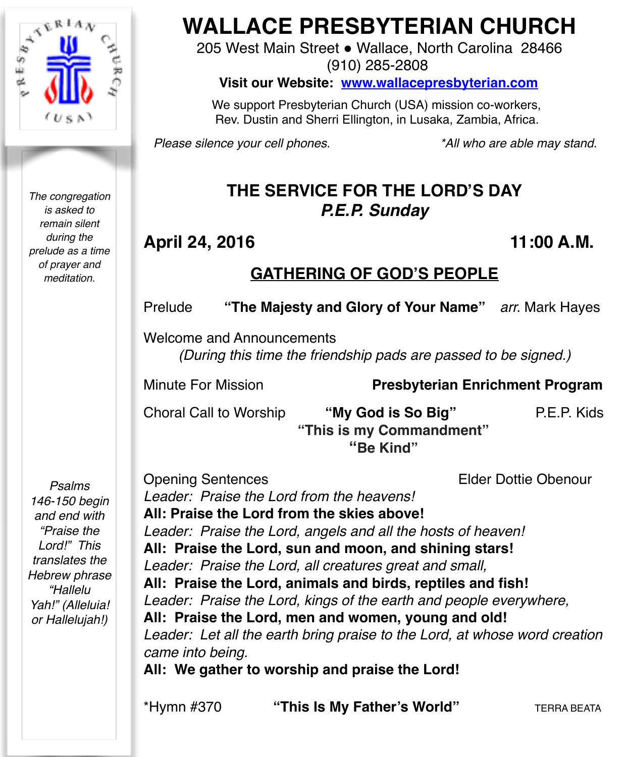

*The congregation is asked to remain silent during the prelude as a time of prayer and meditation.*

# **WALLACE PRESBYTERIAN CHURCH**

205 West Main Street . Wallace, North Carolina 28466 (910) 285-2808

**Visit our Website: [www.wallacepresbyterian.com](http://www.wallacepresbyterian.com)**

 We support Presbyterian Church (USA) mission co-workers, Rev. Dustin and Sherri Ellington, in Lusaka, Zambia, Africa.

*Please silence your cell phones. \*All who are able may stand.*

# **THE SERVICE FOR THE LORD'S DAY** *P.E.P. Sunday*

# **April 24, 2016 11:00 A.M.**

# **GATHERING OF GOD'S PEOPLE**

Prelude **"The Majesty and Glory of Your Name"** *arr.* Mark Hayes

Welcome and Announcements *(During this time the friendship pads are passed to be signed.)*

Minute For Mission **Presbyterian Enrichment Program** !!! **!!!!! ! !** 

Choral Call to Worship **"My God is So Big"** P.E.P. Kids  **"This is my Commandment"**

 **"Be Kind"** 

*Psalms 146-150 begin and end with "Praise the Lord!" This translates the Hebrew phrase "Hallelu Yah!" (Alleluia! or Hallelujah!)*

Opening Sentences Elder Dottie Obenour *Leader: Praise the Lord from the heavens!*  **All: Praise the Lord from the skies above!** *Leader: Praise the Lord, angels and all the hosts of heaven!* **All: Praise the Lord, sun and moon, and shining stars!** *Leader: Praise the Lord, all creatures great and small,* **All: Praise the Lord, animals and birds, reptiles and fish!** *Leader: Praise the Lord, kings of the earth and people everywhere,* **All: Praise the Lord, men and women, young and old!** Leader: Let all the earth bring praise to the Lord, at whose word creation *came into being.* **All: We gather to worship and praise the Lord!**

\*Hymn #370 **"This Is My Father's World"** TERRA BEATA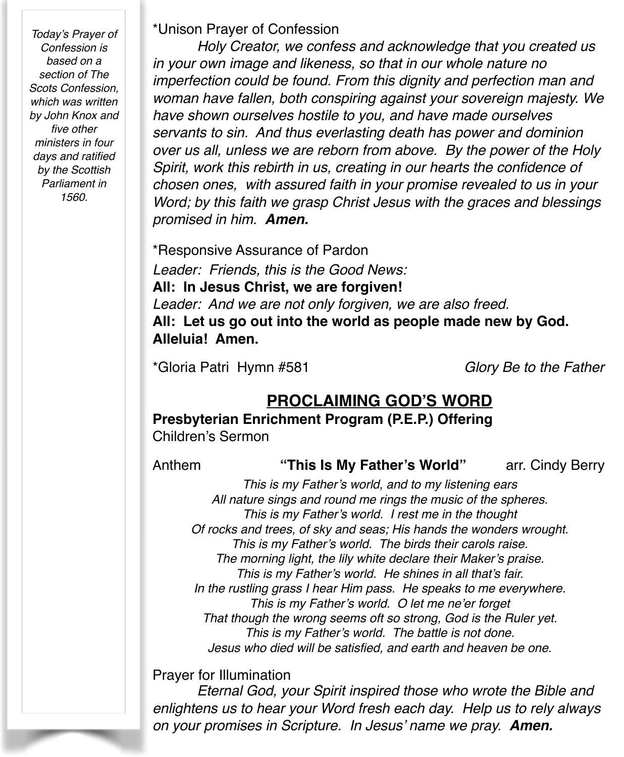*Today's Prayer of Confession is based on a section of The Scots Confession, which was written by John Knox and five other ministers in four days and ratified by the Scottish Parliament in 1560.*

\*Unison Prayer of Confession

*Holy Creator, we confess and acknowledge that you created us in your own image and likeness, so that in our whole nature no imperfection could be found. From this dignity and perfection man and woman have fallen, both conspiring against your sovereign majesty. We have shown ourselves hostile to you, and have made ourselves servants to sin. And thus everlasting death has power and dominion over us all, unless we are reborn from above. By the power of the Holy Spirit, work this rebirth in us, creating in our hearts the confidence of chosen ones, with assured faith in your promise revealed to us in your Word; by this faith we grasp Christ Jesus with the graces and blessings promised in him. Amen.*

\*Responsive Assurance of Pardon *Leader: Friends, this is the Good News:* **All: In Jesus Christ, we are forgiven!** *Leader: And we are not only forgiven, we are also freed.* **All: Let us go out into the world as people made new by God. Alleluia! Amen.**

\*Gloria Patri Hymn #581 *Glory Be to the Father*

## **PROCLAIMING GOD'S WORD**

**Presbyterian Enrichment Program (P.E.P.) Offering**

Children's Sermon

Anthem **"This Is My Father's World"** arr. Cindy Berry

*This is my Father's world, and to my listening ears All nature sings and round me rings the music of the spheres. This is my Father's world. I rest me in the thought Of rocks and trees, of sky and seas; His hands the wonders wrought. This is my Father's world. The birds their carols raise. The morning light, the lily white declare their Maker's praise. This is my Father's world. He shines in all that's fair. In the rustling grass I hear Him pass. He speaks to me everywhere. This is my Father's world. O let me ne'er forget That though the wrong seems oft so strong, God is the Ruler yet. This is my Father's world. The battle is not done. Jesus who died will be satisfied, and earth and heaven be one.*

Prayer for Illumination

*Eternal God, your Spirit inspired those who wrote the Bible and enlightens us to hear your Word fresh each day. Help us to rely always on your promises in Scripture. In Jesus' name we pray. Amen.*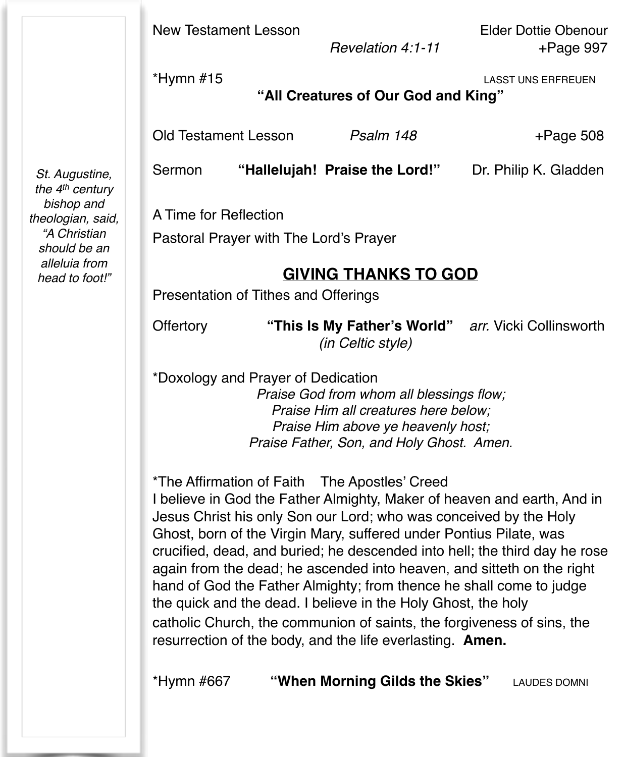New Testament Lesson Elder Dottie Obenour

 *Revelation 4:1-11* +Page 997

\*Hymn #15 LASST UNS ERFREUEN

**"All Creatures of Our God and King"**

Old Testament Lesson *Psalm 148* + Page 508

Sermon "Hallelujah! Praise the Lord!" Dr. Philip K. Gladden

A Time for Reflection

Pastoral Prayer with The Lord's Prayer

### **GIVING THANKS TO GOD**

Presentation of Tithes and Offerings

Offertory **"This Is My Father's World"** *arr.* Vicki Collinsworth *(in Celtic style)* 

\*Doxology and Prayer of Dedication *Praise God from whom all blessings flow; Praise Him all creatures here below; Praise Him above ye heavenly host; Praise Father, Son, and Holy Ghost. Amen.*

\*The Affirmation of Faith The Apostles' Creed

I believe in God the Father Almighty, Maker of heaven and earth, And in Jesus Christ his only Son our Lord; who was conceived by the Holy Ghost, born of the Virgin Mary, suffered under Pontius Pilate, was crucified, dead, and buried; he descended into hell; the third day he rose again from the dead; he ascended into heaven, and sitteth on the right hand of God the Father Almighty; from thence he shall come to judge the quick and the dead. I believe in the Holy Ghost, the holy catholic Church, the communion of saints, the forgiveness of sins, the resurrection of the body, and the life everlasting. **Amen.**

\*Hymn #667 **"When Morning Gilds the Skies"** LAUDES DOMNI

*St. Augustine, the 4th century bishop and theologian, said, "A Christian should be an alleluia from head to foot!"*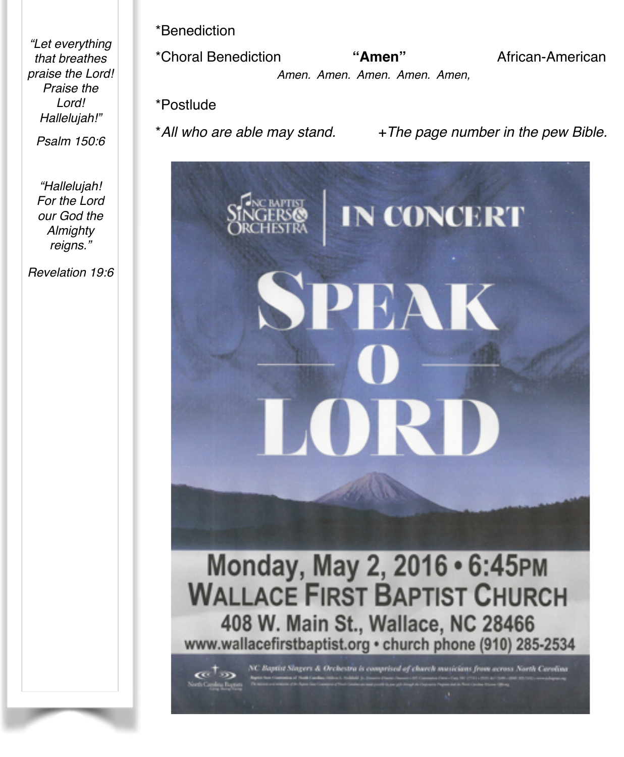*"Let everything that breathes praise the Lord! Praise the Lord! Hallelujah!"*

*Psalm 150:6*

*"Hallelujah! For the Lord our God the Almighty reigns."*

*Revelation 19:6*

\*Benediction

\*Choral Benediction **"Amen"** African-American *Amen. Amen. Amen. Amen. Amen,*! !

\*Postlude

\**All who are able may stand.* +*The page number in the pew Bible.*



Monday, May 2, 2016 • 6:45PM **WALLACE FIRST BAPTIST CHURCH** 408 W. Main St., Wallace, NC 28466 www.wallacefirstbaptist.org · church phone (910) 285-2534

Ingers & Orchestra is comprised of church musicians from across North Carolina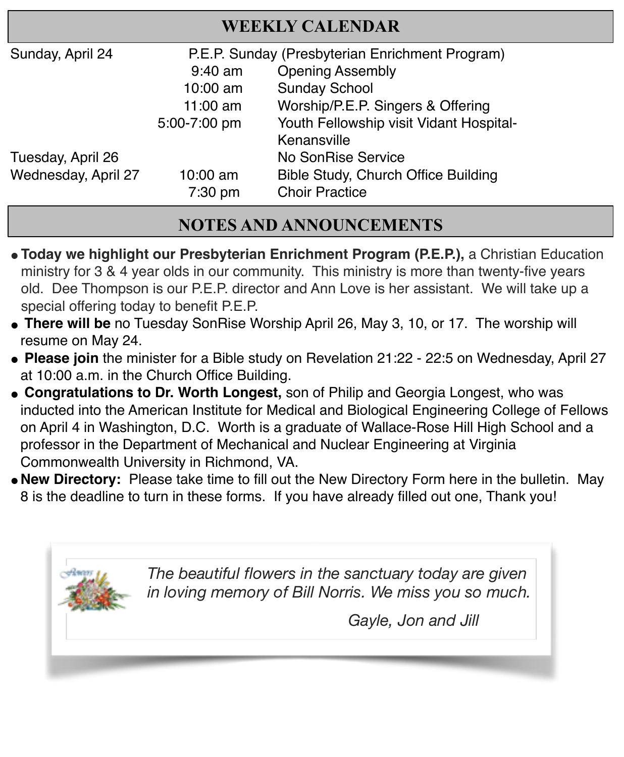| <b>WEEKLY CALENDAR</b> |                                                 |                                            |
|------------------------|-------------------------------------------------|--------------------------------------------|
| Sunday, April 24       | P.E.P. Sunday (Presbyterian Enrichment Program) |                                            |
|                        | $9:40$ am                                       | <b>Opening Assembly</b>                    |
|                        | 10:00 am                                        | <b>Sunday School</b>                       |
|                        | $11:00$ am                                      | Worship/P.E.P. Singers & Offering          |
|                        | 5:00-7:00 pm                                    | Youth Fellowship visit Vidant Hospital-    |
|                        |                                                 | Kenansville                                |
| Tuesday, April 26      |                                                 | No SonRise Service                         |
| Wednesday, April 27    | $10:00$ am                                      | <b>Bible Study, Church Office Building</b> |
|                        | 7:30 pm                                         | <b>Choir Practice</b>                      |

# **NOTES AND ANNOUNCEMENTS**

- **"Today we highlight our Presbyterian Enrichment Program (P.E.P.),** a Christian Education ministry for 3 & 4 year olds in our community. This ministry is more than twenty-five years old. Dee Thompson is our P.E.P. director and Ann Love is her assistant. We will take up a special offering today to benefit P.E.P.
- " **There will be** no Tuesday SonRise Worship April 26, May 3, 10, or 17. The worship will resume on May 24.
- " **Please join** the minister for a Bible study on Revelation 21:22 22:5 on Wednesday, April 27 at 10:00 a.m. in the Church Office Building.
- " **Congratulations to Dr. Worth Longest,** son of Philip and Georgia Longest, who was inducted into the American Institute for Medical and Biological Engineering College of Fellows on April 4 in Washington, D.C. Worth is a graduate of Wallace-Rose Hill High School and a professor in the Department of Mechanical and Nuclear Engineering at Virginia Commonwealth University in Richmond, VA.
- "**New Directory:** Please take time to fill out the New Directory Form here in the bulletin. May 8 is the deadline to turn in these forms. If you have already filled out one, Thank you!

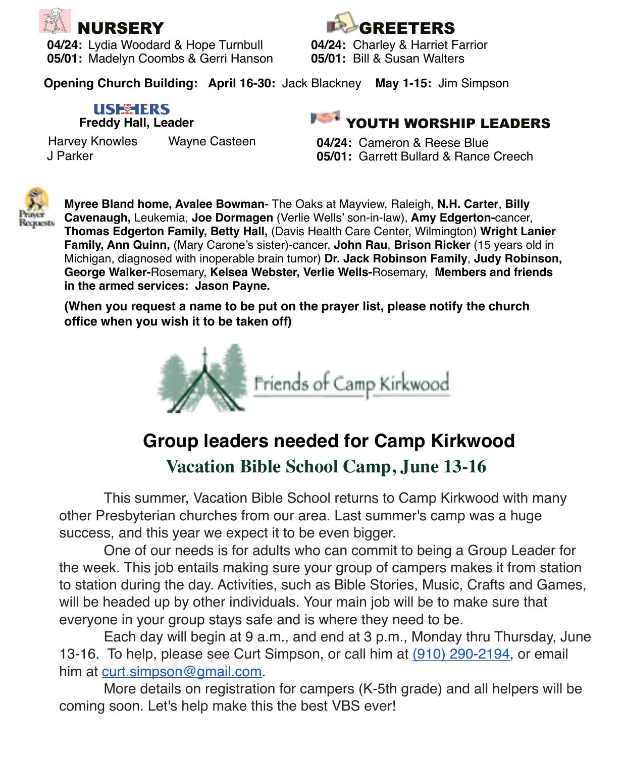

**04/24:** Lydia Woodard & Hope Turnbull **04/24:** Charley & Harriet Fa<br>**05/01:** Madelyn Coombs & Gerri Hanson **05/01:** Bill & Susan Walters **05/01: Madelyn Coombs & Gerri Hanson** 



**Opening Church Building: April 16-30:** Jack Blackney **May 1-15:** Jim Simpson

# **USE TERS**

**Freddy Hall, Leader** 

Harvey Knowles Wayne Casteen J Parker

**COLLEGE** YOUTH WORSHIP LEADERS

**04/24:** Cameron & Reese Blue **05/01:** Garrett Bullard & Rance Creech



**Myree Bland home, Avalee Bowman-** The Oaks at Mayview, Raleigh, **N.H. Carter**, **Billy Cavenaugh,** Leukemia, **Joe Dormagen** (Verlie Wells' son-in-law), **Amy Edgerton-**cancer, **Thomas Edgerton Family, Betty Hall,** (Davis Health Care Center, Wilmington) **Wright Lanier Family, Ann Quinn,** (Mary Carone's sister)-cancer, **John Rau**, **Brison Ricker** (15 years old in Michigan, diagnosed with inoperable brain tumor) **Dr. Jack Robinson Family**, **Judy Robinson, George Walker-**Rosemary, **Kelsea Webster, Verlie Wells-**Rosemary, **Members and friends in the armed services: Jason Payne.** 

**(When you request a name to be put on the prayer list, please notify the church office when you wish it to be taken off)**



# **Group leaders needed for Camp Kirkwood**

# **Vacation Bible School Camp, June 13-16**

This summer, Vacation Bible School returns to Camp Kirkwood with many other Presbyterian churches from our area. Last summer's camp was a huge success, and this year we expect it to be even bigger.

One of our needs is for adults who can commit to being a Group Leader for the week. This job entails making sure your group of campers makes it from station to station during the day. Activities, such as Bible Stories, Music, Crafts and Games, will be headed up by other individuals. Your main job will be to make sure that everyone in your group stays safe and is where they need to be.

Each day will begin at 9 a.m., and end at 3 p.m., Monday thru Thursday, June 13-16. To help, please see Curt Simpson, or call him at (910) 290-2194, or email him at [curt.simpson@gmail.com.](mailto:curt.simpson@gmail.com)

More details on registration for campers (K-5th grade) and all helpers will be coming soon. Let's help make this the best VBS ever!